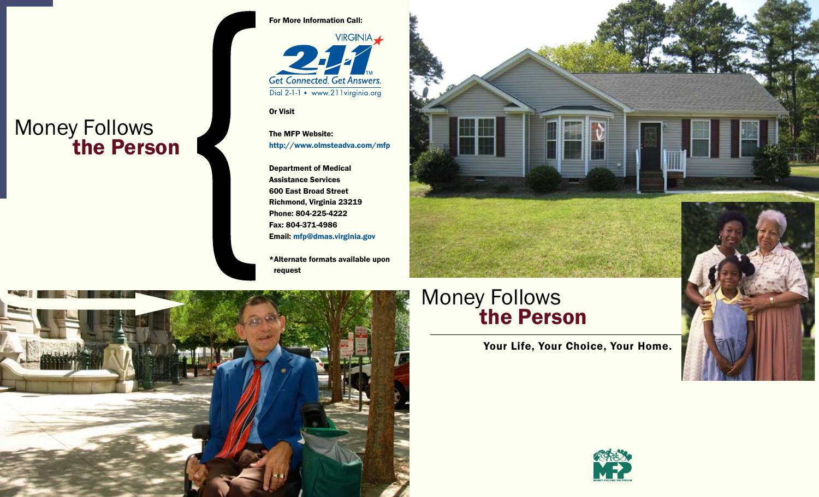# Money Follows **The Person**



**Get Connected. Get Answers.** Dial 2-1-1 • www.211virginia.org

Or Visit

The MFP Website: http://www.olmsteadva.com/mfp

Department of Medical Assistance Services 600 East Broad Street Richmond, Virginia 23219 Phone: 804-225-4222 Fax: 804-371-4986 Email: mfp@dmas.virginia.gov

\*Alternate formats available upon request



### Money Follows **The Person**

Your Life, Your Choice, Your Home.